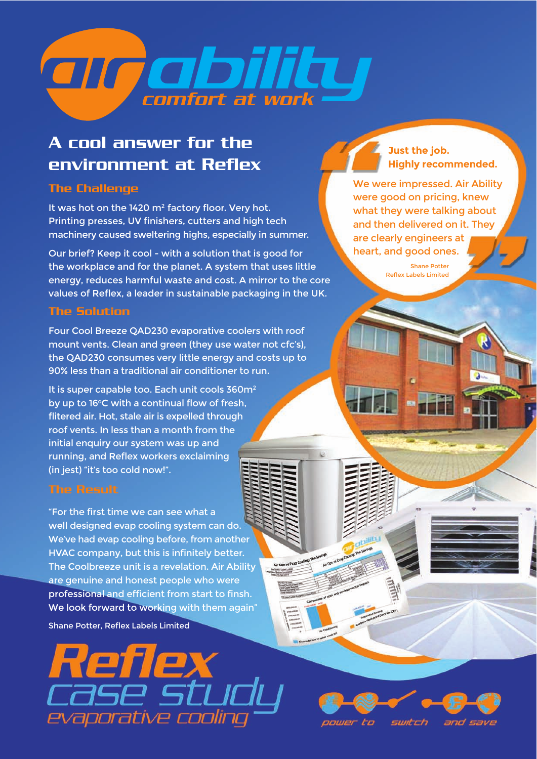

## A cool answer for the environment at Reflex

## The Challenge

It was hot on the 1420 m<sup>2</sup> factory floor. Very hot. Printing presses, UV finishers, cutters and high tech machinery caused sweltering highs, especially in summer.

Our brief? Keep it cool - with a solution that is good for the workplace and for the planet. A system that uses little energy, reduces harmful waste and cost. A mirror to the core values of Reflex, a leader in sustainable packaging in the UK.

## The Solution

Four Cool Breeze QAD230 evaporative coolers with roof mount vents. Clean and green (they use water not cfc's), the QAD230 consumes very little energy and costs up to 90% less than a traditional air conditioner to run.

It is super capable too. Each unit cools 360m<sup>2</sup> by up to 16°C with a continual flow of fresh, flitered air. Hot, stale air is expelled through roof vents. In less than a month from the initial enquiry our system was up and running, and Reflex workers exclaiming (in jest) "it's too cold now!".

## The Result

"For the first time we can see what a well designed evap cooling system can do. We've had evap cooling before, from another HVAC company, but this is infinitely better. The Coolbreeze unit is a revelation. Air Ability are genuine and honest people who were professional and efficient from start to finsh. We look forward to working with them again"

Air Con y

Shane Potter, Reflex Labels Limited



**Just the job. Highly recommended.**

We were impressed. Air Ability were good on pricing, knew what they were talking about and then delivered on it. They are clearly engineers at heart, and good ones.

> Shane Potter Reflex Labels Limited

oower to switch and save